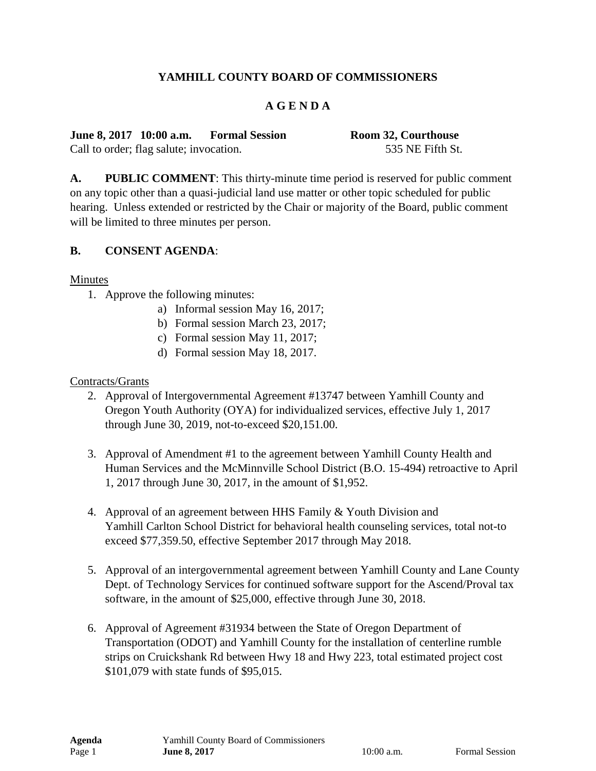# **YAMHILL COUNTY BOARD OF COMMISSIONERS**

## **A G E N D A**

**June 8, 2017 10:00 a.m. Formal Session Room 32, Courthouse** Call to order; flag salute; invocation. 535 NE Fifth St.

**A. PUBLIC COMMENT**: This thirty-minute time period is reserved for public comment on any topic other than a quasi-judicial land use matter or other topic scheduled for public hearing. Unless extended or restricted by the Chair or majority of the Board, public comment will be limited to three minutes per person.

#### **B. CONSENT AGENDA**:

Minutes

- 1. Approve the following minutes:
	- a) Informal session May 16, 2017;
	- b) Formal session March 23, 2017;
	- c) Formal session May 11, 2017;
	- d) Formal session May 18, 2017.

#### Contracts/Grants

- 2. Approval of Intergovernmental Agreement #13747 between Yamhill County and Oregon Youth Authority (OYA) for individualized services, effective July 1, 2017 through June 30, 2019, not-to-exceed \$20,151.00.
- 3. Approval of Amendment #1 to the agreement between Yamhill County Health and Human Services and the McMinnville School District (B.O. 15-494) retroactive to April 1, 2017 through June 30, 2017, in the amount of \$1,952.
- 4. Approval of an agreement between HHS Family & Youth Division and Yamhill Carlton School District for behavioral health counseling services, total not-to exceed \$77,359.50, effective September 2017 through May 2018.
- 5. Approval of an intergovernmental agreement between Yamhill County and Lane County Dept. of Technology Services for continued software support for the Ascend/Proval tax software, in the amount of \$25,000, effective through June 30, 2018.
- 6. Approval of Agreement #31934 between the State of Oregon Department of Transportation (ODOT) and Yamhill County for the installation of centerline rumble strips on Cruickshank Rd between Hwy 18 and Hwy 223, total estimated project cost \$101,079 with state funds of \$95,015.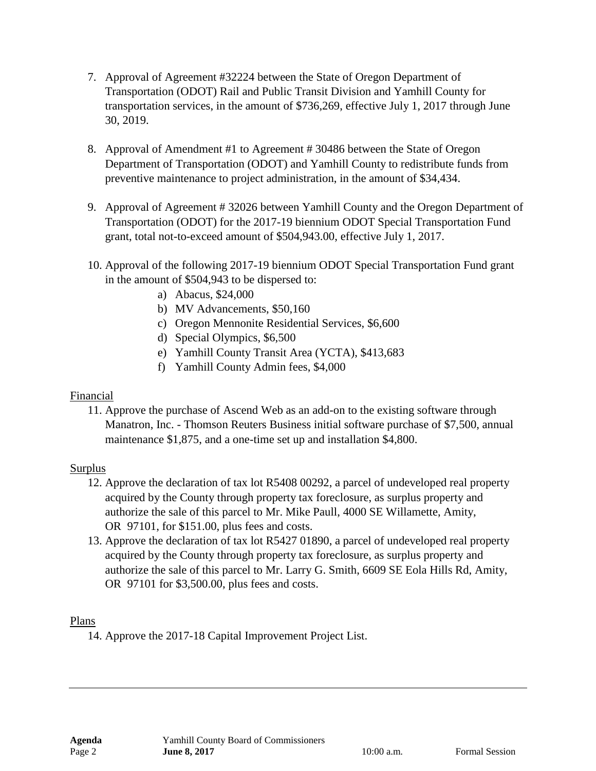- 7. Approval of Agreement #32224 between the State of Oregon Department of Transportation (ODOT) Rail and Public Transit Division and Yamhill County for transportation services, in the amount of \$736,269, effective July 1, 2017 through June 30, 2019.
- 8. Approval of Amendment #1 to Agreement # 30486 between the State of Oregon Department of Transportation (ODOT) and Yamhill County to redistribute funds from preventive maintenance to project administration, in the amount of \$34,434.
- 9. Approval of Agreement # 32026 between Yamhill County and the Oregon Department of Transportation (ODOT) for the 2017-19 biennium ODOT Special Transportation Fund grant, total not-to-exceed amount of \$504,943.00, effective July 1, 2017.
- 10. Approval of the following 2017-19 biennium ODOT Special Transportation Fund grant in the amount of \$504,943 to be dispersed to:
	- a) Abacus, \$24,000
	- b) MV Advancements, \$50,160
	- c) Oregon Mennonite Residential Services, \$6,600
	- d) Special Olympics, \$6,500
	- e) Yamhill County Transit Area (YCTA), \$413,683
	- f) Yamhill County Admin fees, \$4,000

## Financial

11. Approve the purchase of Ascend Web as an add-on to the existing software through Manatron, Inc. - Thomson Reuters Business initial software purchase of \$7,500, annual maintenance \$1,875, and a one-time set up and installation \$4,800.

## Surplus

- 12. Approve the declaration of tax lot R5408 00292, a parcel of undeveloped real property acquired by the County through property tax foreclosure, as surplus property and authorize the sale of this parcel to Mr. Mike Paull, 4000 SE Willamette, Amity, OR 97101, for \$151.00, plus fees and costs.
- 13. Approve the declaration of tax lot R5427 01890, a parcel of undeveloped real property acquired by the County through property tax foreclosure, as surplus property and authorize the sale of this parcel to Mr. Larry G. Smith, 6609 SE Eola Hills Rd, Amity, OR 97101 for \$3,500.00, plus fees and costs.

## Plans

14. Approve the 2017-18 Capital Improvement Project List.